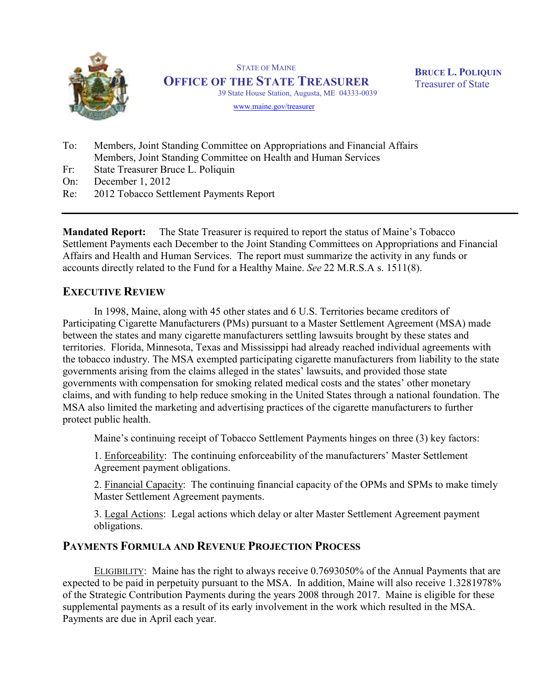

STATE OF MAINE OFFICE OF THE STATE TREASURER 39 State House Station, Augusta, ME 04333-0039

BRUCE L. POLIQUIN Treasurer of State

www.maine.gov/treasurer

- To: Members, Joint Standing Committee on Appropriations and Financial Affairs Members, Joint Standing Committee on Health and Human Services
- Fr: State Treasurer Bruce L. Poliquin
- On: December 1, 2012
- Re: 2012 Tobacco Settlement Payments Report

Mandated Report: The State Treasurer is required to report the status of Maine's Tobacco Settlement Payments each December to the Joint Standing Committees on Appropriations and Financial Affairs and Health and Human Services. The report must summarize the activity in any funds or accounts directly related to the Fund for a Healthy Maine. See 22 M.R.S.A s. 1511(8).

# EXECUTIVE REVIEW

In 1998, Maine, along with 45 other states and 6 U.S. Territories became creditors of Participating Cigarette Manufacturers (PMs) pursuant to a Master Settlement Agreement (MSA) made between the states and many cigarette manufacturers settling lawsuits brought by these states and territories. Florida, Minnesota, Texas and Mississippi had already reached individual agreements with the tobacco industry. The MSA exempted participating cigarette manufacturers from liability to the state governments arising from the claims alleged in the states' lawsuits, and provided those state governments with compensation for smoking related medical costs and the states' other monetary claims, and with funding to help reduce smoking in the United States through a national foundation. The MSA also limited the marketing and advertising practices of the cigarette manufacturers to further protect public health.

Maine's continuing receipt of Tobacco Settlement Payments hinges on three (3) key factors:

1. Enforceability: The continuing enforceability of the manufacturers' Master Settlement Agreement payment obligations.

2. Financial Capacity: The continuing financial capacity of the OPMs and SPMs to make timely Master Settlement Agreement payments.

3. Legal Actions: Legal actions which delay or alter Master Settlement Agreement payment obligations.

# PAYMENTS FORMULA AND REVENUE PROJECTION PROCESS

ELIGIBILITY: Maine has the right to always receive 0.7693050% of the Annual Payments that are expected to be paid in perpetuity pursuant to the MSA. In addition, Maine will also receive 1.3281978% of the Strategic Contribution Payments during the years 2008 through 2017. Maine is eligible for these supplemental payments as a result of its early involvement in the work which resulted in the MSA. Payments are due in April each year.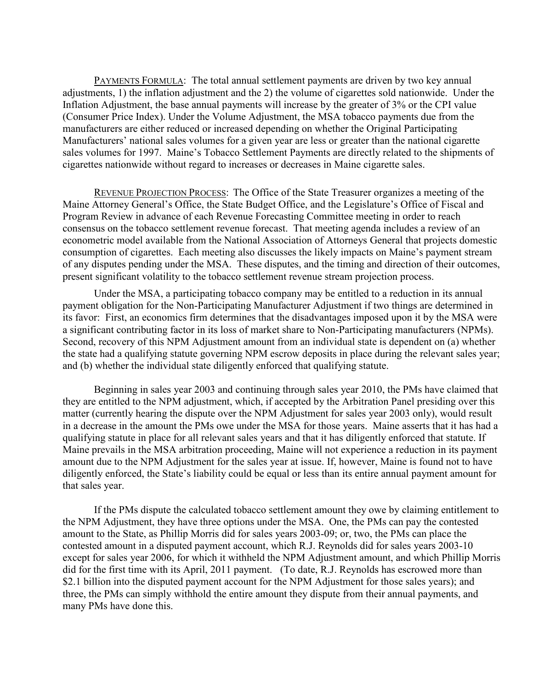PAYMENTS FORMULA: The total annual settlement payments are driven by two key annual adjustments, 1) the inflation adjustment and the 2) the volume of cigarettes sold nationwide. Under the Inflation Adjustment, the base annual payments will increase by the greater of 3% or the CPI value (Consumer Price Index). Under the Volume Adjustment, the MSA tobacco payments due from the manufacturers are either reduced or increased depending on whether the Original Participating Manufacturers' national sales volumes for a given year are less or greater than the national cigarette sales volumes for 1997. Maine's Tobacco Settlement Payments are directly related to the shipments of cigarettes nationwide without regard to increases or decreases in Maine cigarette sales.

REVENUE PROJECTION PROCESS: The Office of the State Treasurer organizes a meeting of the Maine Attorney General's Office, the State Budget Office, and the Legislature's Office of Fiscal and Program Review in advance of each Revenue Forecasting Committee meeting in order to reach consensus on the tobacco settlement revenue forecast. That meeting agenda includes a review of an econometric model available from the National Association of Attorneys General that projects domestic consumption of cigarettes. Each meeting also discusses the likely impacts on Maine's payment stream of any disputes pending under the MSA. These disputes, and the timing and direction of their outcomes, present significant volatility to the tobacco settlement revenue stream projection process.

Under the MSA, a participating tobacco company may be entitled to a reduction in its annual payment obligation for the Non-Participating Manufacturer Adjustment if two things are determined in its favor: First, an economics firm determines that the disadvantages imposed upon it by the MSA were a significant contributing factor in its loss of market share to Non-Participating manufacturers (NPMs). Second, recovery of this NPM Adjustment amount from an individual state is dependent on (a) whether the state had a qualifying statute governing NPM escrow deposits in place during the relevant sales year; and (b) whether the individual state diligently enforced that qualifying statute.

Beginning in sales year 2003 and continuing through sales year 2010, the PMs have claimed that they are entitled to the NPM adjustment, which, if accepted by the Arbitration Panel presiding over this matter (currently hearing the dispute over the NPM Adjustment for sales year 2003 only), would result in a decrease in the amount the PMs owe under the MSA for those years. Maine asserts that it has had a qualifying statute in place for all relevant sales years and that it has diligently enforced that statute. If Maine prevails in the MSA arbitration proceeding, Maine will not experience a reduction in its payment amount due to the NPM Adjustment for the sales year at issue. If, however, Maine is found not to have diligently enforced, the State's liability could be equal or less than its entire annual payment amount for that sales year.

If the PMs dispute the calculated tobacco settlement amount they owe by claiming entitlement to the NPM Adjustment, they have three options under the MSA. One, the PMs can pay the contested amount to the State, as Phillip Morris did for sales years 2003-09; or, two, the PMs can place the contested amount in a disputed payment account, which R.J. Reynolds did for sales years 2003-10 except for sales year 2006, for which it withheld the NPM Adjustment amount, and which Phillip Morris did for the first time with its April, 2011 payment. (To date, R.J. Reynolds has escrowed more than \$2.1 billion into the disputed payment account for the NPM Adjustment for those sales years); and three, the PMs can simply withhold the entire amount they dispute from their annual payments, and many PMs have done this.